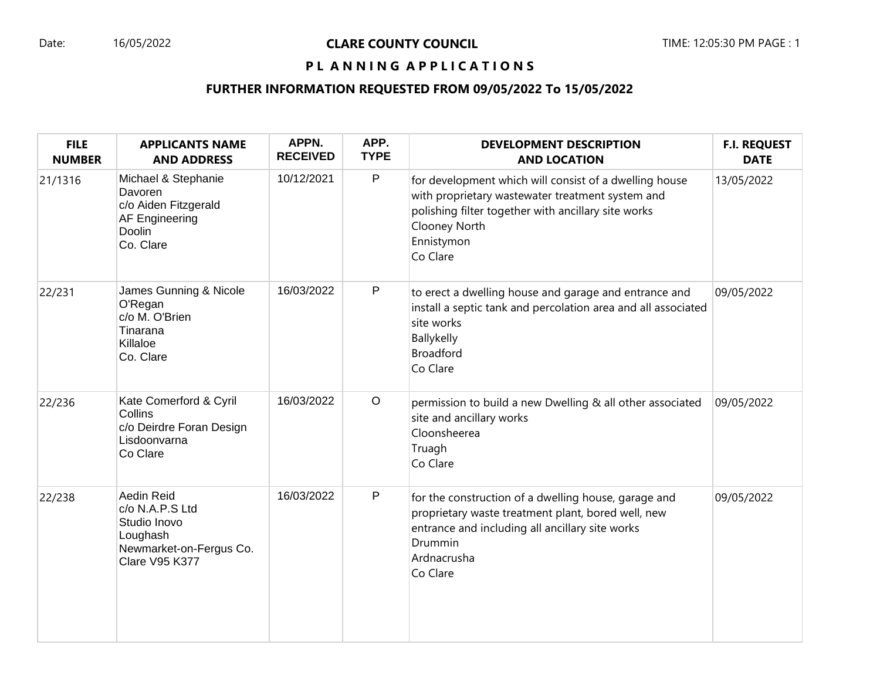### Date: 16/05/2022 **CLARE COUNTY COUNCIL** TIME: 12:05:30 PM PAGE : 1

# PL ANNING APPLICATIONS

# **FURTHER INFORMATION REQUESTED FROM 09/05/2022 To 15/05/2022**

| <b>FILE</b><br><b>NUMBER</b> | <b>APPLICANTS NAME</b><br><b>AND ADDRESS</b>                                                                  | APPN.<br><b>RECEIVED</b> | APP.<br><b>TYPE</b> | <b>DEVELOPMENT DESCRIPTION</b><br><b>AND LOCATION</b>                                                                                                                                                        | <b>F.I. REQUEST</b><br><b>DATE</b> |
|------------------------------|---------------------------------------------------------------------------------------------------------------|--------------------------|---------------------|--------------------------------------------------------------------------------------------------------------------------------------------------------------------------------------------------------------|------------------------------------|
| 21/1316                      | Michael & Stephanie<br>Davoren<br>c/o Aiden Fitzgerald<br>AF Engineering<br>Doolin<br>Co. Clare               | 10/12/2021               | $\mathsf{P}$        | for development which will consist of a dwelling house<br>with proprietary wastewater treatment system and<br>polishing filter together with ancillary site works<br>Clooney North<br>Ennistymon<br>Co Clare | 13/05/2022                         |
| 22/231                       | James Gunning & Nicole<br>O'Regan<br>c/o M. O'Brien<br>Tinarana<br>Killaloe<br>Co. Clare                      | 16/03/2022               | P                   | to erect a dwelling house and garage and entrance and<br>install a septic tank and percolation area and all associated<br>site works<br>Ballykelly<br><b>Broadford</b><br>Co Clare                           | 09/05/2022                         |
| 22/236                       | Kate Comerford & Cyril<br>Collins<br>c/o Deirdre Foran Design<br>Lisdoonvarna<br>Co Clare                     | 16/03/2022               | $\circ$             | permission to build a new Dwelling & all other associated<br>site and ancillary works<br>Cloonsheerea<br>Truagh<br>Co Clare                                                                                  | 09/05/2022                         |
| 22/238                       | Aedin Reid<br>c/o N.A.P.S Ltd<br>Studio Inovo<br>Loughash<br>Newmarket-on-Fergus Co.<br><b>Clare V95 K377</b> | 16/03/2022               | $\mathsf P$         | for the construction of a dwelling house, garage and<br>proprietary waste treatment plant, bored well, new<br>entrance and including all ancillary site works<br>Drummin<br>Ardnacrusha<br>Co Clare          | 09/05/2022                         |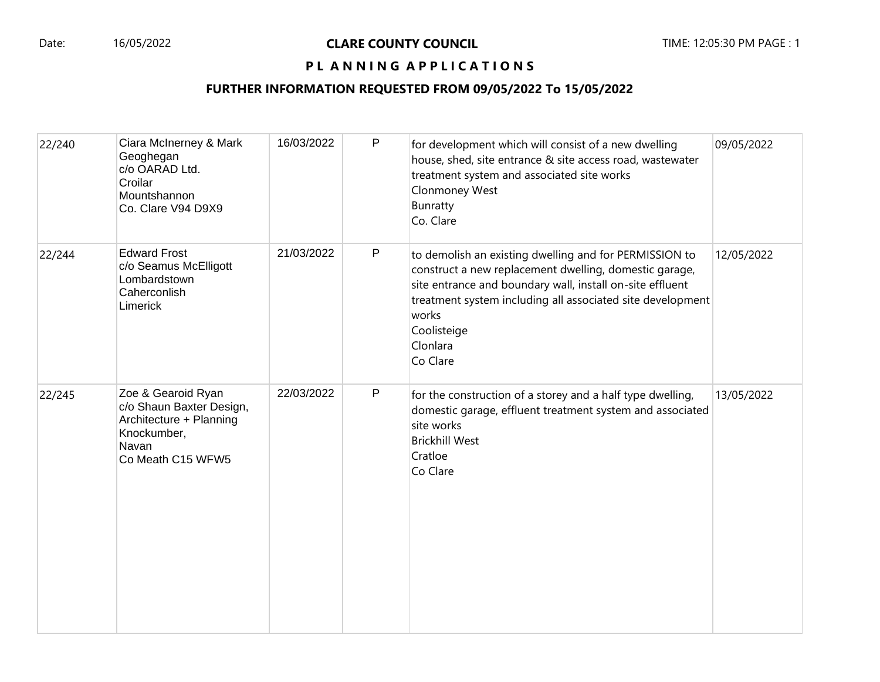# PL ANNING APPLICATIONS

#### **FURTHER INFORMATION REQUESTED FROM 09/05/2022 To 15/05/2022**

| 22/240 | Ciara McInerney & Mark<br>Geoghegan<br>c/o OARAD Ltd.<br>Croilar<br>Mountshannon<br>Co. Clare V94 D9X9                 | 16/03/2022 | P | for development which will consist of a new dwelling<br>house, shed, site entrance & site access road, wastewater<br>treatment system and associated site works<br>Clonmoney West<br>Bunratty<br>Co. Clare                                                                                  | 09/05/2022 |
|--------|------------------------------------------------------------------------------------------------------------------------|------------|---|---------------------------------------------------------------------------------------------------------------------------------------------------------------------------------------------------------------------------------------------------------------------------------------------|------------|
| 22/244 | <b>Edward Frost</b><br>c/o Seamus McElligott<br>Lombardstown<br>Caherconlish<br>Limerick                               | 21/03/2022 | P | to demolish an existing dwelling and for PERMISSION to<br>construct a new replacement dwelling, domestic garage,<br>site entrance and boundary wall, install on-site effluent<br>treatment system including all associated site development<br>works<br>Coolisteige<br>Clonlara<br>Co Clare | 12/05/2022 |
| 22/245 | Zoe & Gearoid Ryan<br>c/o Shaun Baxter Design,<br>Architecture + Planning<br>Knockumber,<br>Navan<br>Co Meath C15 WFW5 | 22/03/2022 | P | for the construction of a storey and a half type dwelling,<br>domestic garage, effluent treatment system and associated<br>site works<br><b>Brickhill West</b><br>Cratloe<br>Co Clare                                                                                                       | 13/05/2022 |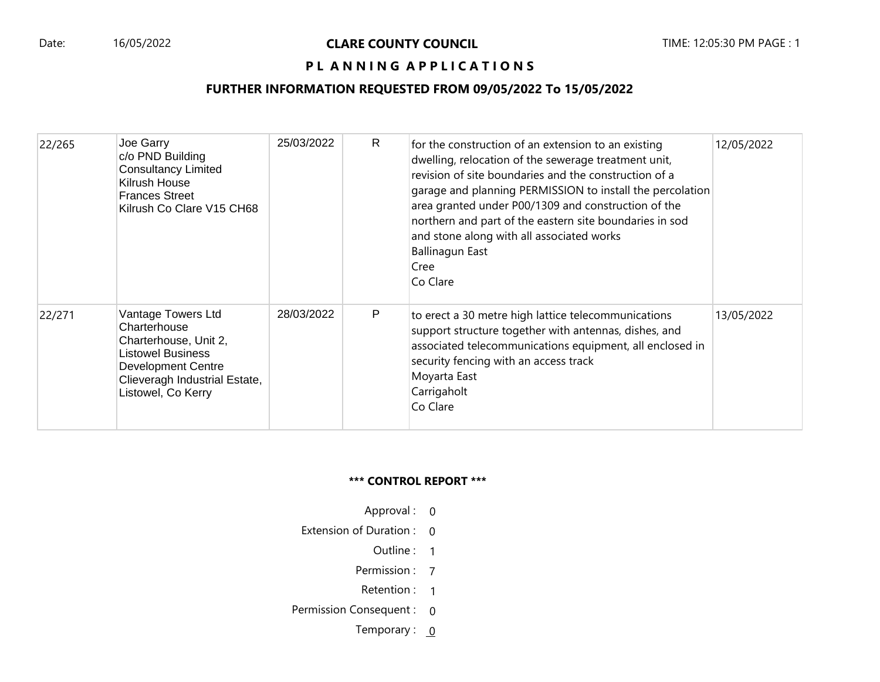# PL ANNING APPLICATIONS

# **FURTHER INFORMATION REQUESTED FROM 09/05/2022 To 15/05/2022**

| 22/265 | Joe Garry<br>c/o PND Building<br><b>Consultancy Limited</b><br>Kilrush House<br><b>Frances Street</b><br>Kilrush Co Clare V15 CH68                                          | 25/03/2022 | R | for the construction of an extension to an existing<br>dwelling, relocation of the sewerage treatment unit,<br>revision of site boundaries and the construction of a<br>garage and planning PERMISSION to install the percolation<br>area granted under P00/1309 and construction of the<br>northern and part of the eastern site boundaries in sod<br>and stone along with all associated works<br>Ballinagun East<br>Cree<br>Co Clare | 12/05/2022 |
|--------|-----------------------------------------------------------------------------------------------------------------------------------------------------------------------------|------------|---|-----------------------------------------------------------------------------------------------------------------------------------------------------------------------------------------------------------------------------------------------------------------------------------------------------------------------------------------------------------------------------------------------------------------------------------------|------------|
| 22/271 | Vantage Towers Ltd<br>Charterhouse<br>Charterhouse, Unit 2,<br><b>Listowel Business</b><br><b>Development Centre</b><br>Clieveragh Industrial Estate,<br>Listowel, Co Kerry | 28/03/2022 | P | to erect a 30 metre high lattice telecommunications<br>support structure together with antennas, dishes, and<br>associated telecommunications equipment, all enclosed in<br>security fencing with an access track<br>Moyarta East<br>Carrigaholt<br>Co Clare                                                                                                                                                                            | 13/05/2022 |

#### **\*\*\* CONTROL REPORT \*\*\***

- Approval : 0
- Extension of Duration : 0
	- Outline : 1
	- Permission : 7
	- Retention : 1
- Permission Consequent : 0
	- Temporary :  $0$